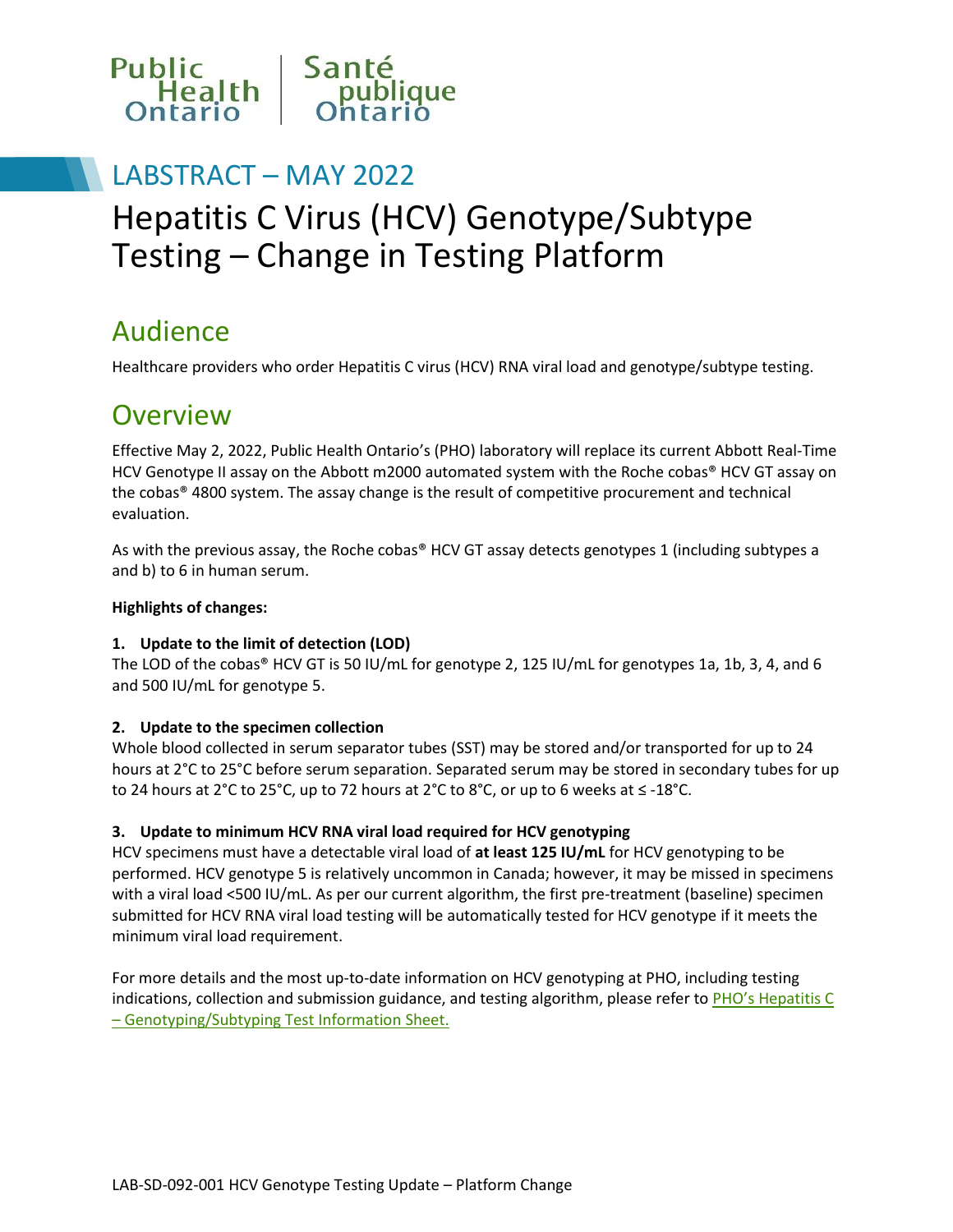

### LABSTRACT – MAY 2022

# Hepatitis C Virus (HCV) Genotype/Subtype Testing – Change in Testing Platform

### Audience

Healthcare providers who order Hepatitis C virus (HCV) RNA viral load and genotype/subtype testing.

### **Overview**

Effective May 2, 2022, Public Health Ontario's (PHO) laboratory will replace its current Abbott Real-Time HCV Genotype II assay on the Abbott m2000 automated system with the Roche cobas® HCV GT assay on the cobas® 4800 system. The assay change is the result of competitive procurement and technical evaluation.

As with the previous assay, the Roche cobas® HCV GT assay detects genotypes 1 (including subtypes a and b) to 6 in human serum.

#### **Highlights of changes:**

#### **1. Update to the limit of detection (LOD)**

The LOD of the cobas® HCV GT is 50 IU/mL for genotype 2, 125 IU/mL for genotypes 1a, 1b, 3, 4, and 6 and 500 IU/mL for genotype 5.

#### **2. Update to the specimen collection**

Whole blood collected in serum separator tubes (SST) may be stored and/or transported for up to 24 hours at 2°C to 25°C before serum separation. Separated serum may be stored in secondary tubes for up to 24 hours at 2°C to 25°C, up to 72 hours at 2°C to 8°C, or up to 6 weeks at ≤ -18°C.

#### **3. Update to minimum HCV RNA viral load required for HCV genotyping**

HCV specimens must have a detectable viral load of **at least 125 IU/mL** for HCV genotyping to be performed. HCV genotype 5 is relatively uncommon in Canada; however, it may be missed in specimens with a viral load <500 IU/mL. As per our current algorithm, the first pre-treatment (baseline) specimen submitted for HCV RNA viral load testing will be automatically tested for HCV genotype if it meets the minimum viral load requirement.

For more details and the most up-to-date information on HCV genotyping at PHO, including testing indications, collection and submission guidance, and testing algorithm, please refer to PHO's Hepatitis C – [Genotyping/Subtyping Test Information Sheet.](https://www.publichealthontario.ca/en/laboratory-services/test-information-index/hepatitis-c-genotyping)